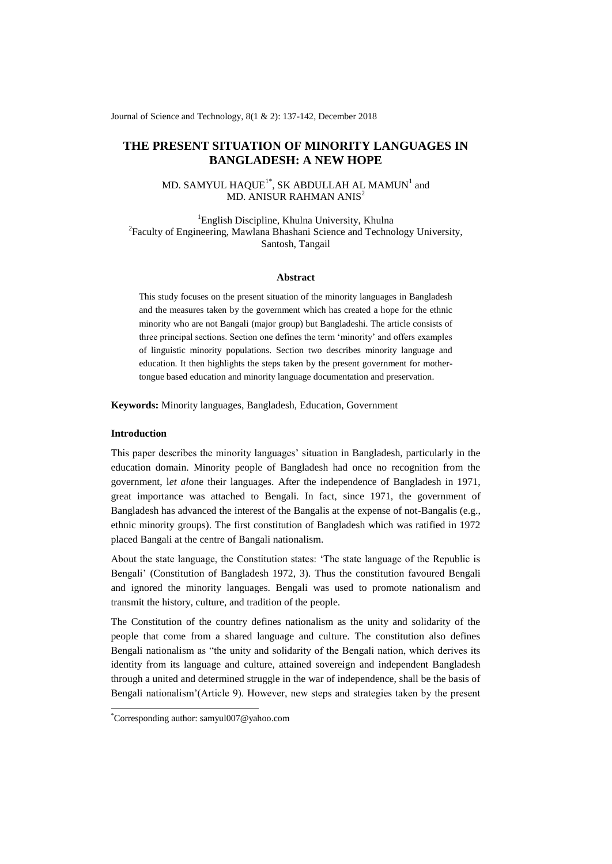Journal of Science and Technology, 8(1 & 2): 137-142, December 2018

# **THE PRESENT SITUATION OF MINORITY LANGUAGES IN BANGLADESH: A NEW HOPE**

## MD. SAMYUL HAQUE $^{\rm l}$ \*, SK ABDULLAH AL MAMUN $^{\rm l}$  and MD. ANISUR RAHMAN ANIS<sup>2</sup>

<sup>1</sup>English Discipline, Khulna University, Khulna <sup>2</sup> Faculty of Engineering, Mawlana Bhashani Science and Technology University, Santosh, Tangail

### **Abstract**

This study focuses on the present situation of the minority languages in Bangladesh and the measures taken by the government which has created a hope for the ethnic minority who are not Bangali (major group) but Bangladeshi. The article consists of three principal sections. Section one defines the term "minority" and offers examples of linguistic minority populations. Section two describes minority language and education. It then highlights the steps taken by the present government for mothertongue based education and minority language documentation and preservation.

**Keywords:** Minority languages, Bangladesh, Education, Government

## **Introduction**

-

This paper describes the minority languages" situation in Bangladesh, particularly in the education domain. Minority people of Bangladesh had once no recognition from the government, l*et al*one their languages. After the independence of Bangladesh in 1971, great importance was attached to Bengali. In fact, since 1971, the government of Bangladesh has advanced the interest of the Bangalis at the expense of not-Bangalis (e.g., ethnic minority groups). The first constitution of Bangladesh which was ratified in 1972 placed Bangali at the centre of Bangali nationalism.

About the state language, the Constitution states: "The state language of the Republic is Bengali" (Constitution of Bangladesh 1972, 3). Thus the constitution favoured Bengali and ignored the minority languages. Bengali was used to promote nationalism and transmit the history, culture, and tradition of the people.

The Constitution of the country defines nationalism as the unity and solidarity of the people that come from a shared language and culture. The constitution also defines Bengali nationalism as "the unity and solidarity of the Bengali nation, which derives its identity from its language and culture, attained sovereign and independent Bangladesh through a united and determined struggle in the war of independence, shall be the basis of Bengali nationalism"(Article 9). However, new steps and strategies taken by the present

<sup>\*</sup>Corresponding author: samyul007@yahoo.com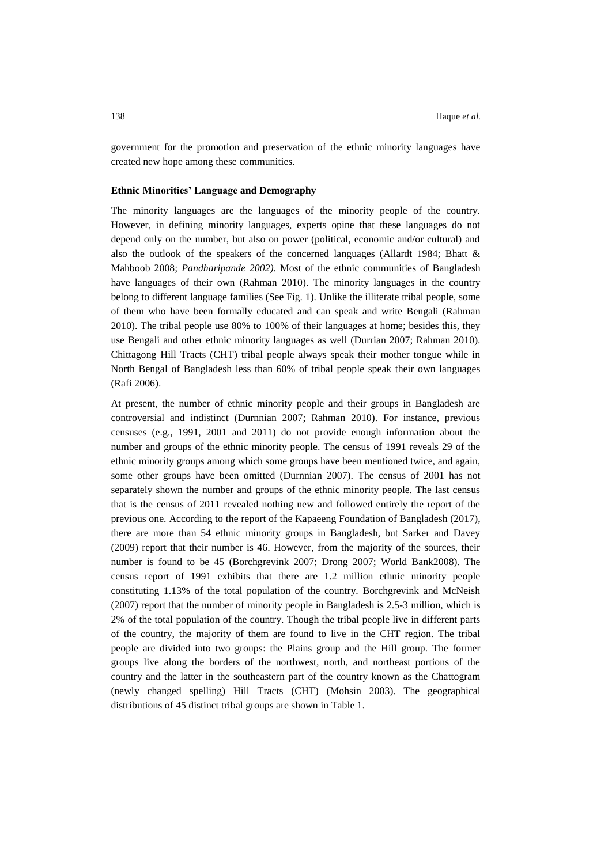government for the promotion and preservation of the ethnic minority languages have created new hope among these communities.

#### **Ethnic Minorities' Language and Demography**

The minority languages are the languages of the minority people of the country. However, in defining minority languages, experts opine that these languages do not depend only on the number, but also on power (political, economic and/or cultural) and also the outlook of the speakers of the concerned languages (Allardt 1984; Bhatt & Mahboob 2008; *Pandharipande 2002).* Most of the ethnic communities of Bangladesh have languages of their own (Rahman 2010). The minority languages in the country belong to different language families (See Fig. 1). Unlike the illiterate tribal people, some of them who have been formally educated and can speak and write Bengali (Rahman 2010). The tribal people use 80% to 100% of their languages at home; besides this, they use Bengali and other ethnic minority languages as well (Durrian 2007; Rahman 2010). Chittagong Hill Tracts (CHT) tribal people always speak their mother tongue while in North Bengal of Bangladesh less than 60% of tribal people speak their own languages (Rafi 2006).

At present, the number of ethnic minority people and their groups in Bangladesh are controversial and indistinct (Durnnian 2007; Rahman 2010). For instance, previous censuses (e.g., 1991, 2001 and 2011) do not provide enough information about the number and groups of the ethnic minority people. The census of 1991 reveals 29 of the ethnic minority groups among which some groups have been mentioned twice, and again, some other groups have been omitted (Durnnian 2007). The census of 2001 has not separately shown the number and groups of the ethnic minority people. The last census that is the census of 2011 revealed nothing new and followed entirely the report of the previous one. According to the report of the Kapaeeng Foundation of Bangladesh (2017), there are more than 54 ethnic minority groups in Bangladesh, but Sarker and Davey (2009) report that their number is 46. However, from the majority of the sources, their number is found to be 45 (Borchgrevink 2007; Drong 2007; World Bank2008). The census report of 1991 exhibits that there are 1.2 million ethnic minority people constituting 1.13% of the total population of the country. Borchgrevink and McNeish (2007) report that the number of minority people in Bangladesh is 2.5-3 million, which is 2% of the total population of the country. Though the tribal people live in different parts of the country, the majority of them are found to live in the CHT region. The tribal people are divided into two groups: the Plains group and the Hill group. The former groups live along the borders of the northwest, north, and northeast portions of the country and the latter in the southeastern part of the country known as the Chattogram (newly changed spelling) Hill Tracts (CHT) (Mohsin 2003). The geographical distributions of 45 distinct tribal groups are shown in Table 1.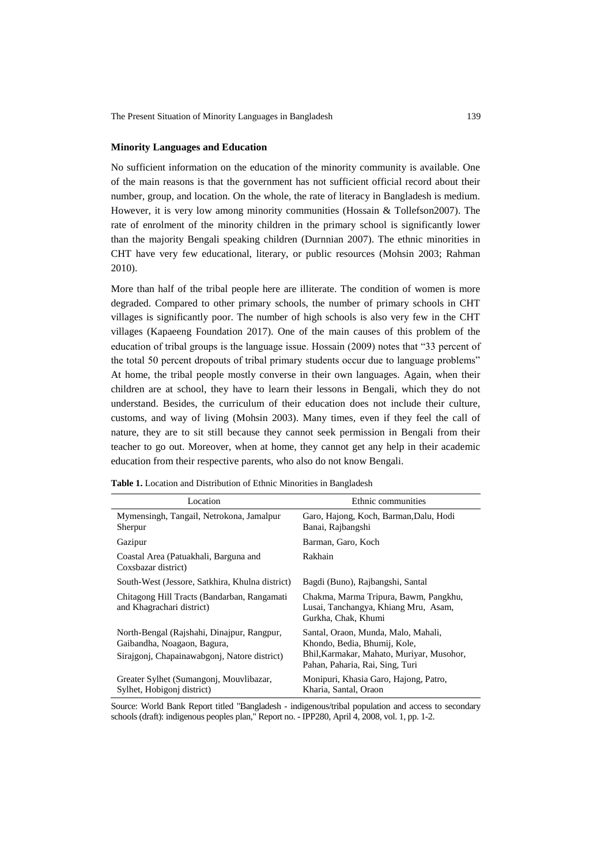#### **Minority Languages and Education**

No sufficient information on the education of the minority community is available. One of the main reasons is that the government has not sufficient official record about their number, group, and location. On the whole, the rate of literacy in Bangladesh is medium. However, it is very low among minority communities (Hossain & Tollefson2007). The rate of enrolment of the minority children in the primary school is significantly lower than the majority Bengali speaking children (Durnnian 2007). The ethnic minorities in CHT have very few educational, literary, or public resources (Mohsin 2003; Rahman 2010).

More than half of the tribal people here are illiterate. The condition of women is more degraded. Compared to other primary schools, the number of primary schools in CHT villages is significantly poor. The number of high schools is also very few in the CHT villages (Kapaeeng Foundation 2017). One of the main causes of this problem of the education of tribal groups is the language issue. Hossain (2009) notes that "33 percent of the total 50 percent dropouts of tribal primary students occur due to language problems" At home, the tribal people mostly converse in their own languages. Again, when their children are at school, they have to learn their lessons in Bengali, which they do not understand. Besides, the curriculum of their education does not include their culture, customs, and way of living (Mohsin 2003). Many times, even if they feel the call of nature, they are to sit still because they cannot seek permission in Bengali from their teacher to go out. Moreover, when at home, they cannot get any help in their academic education from their respective parents, who also do not know Bengali.

| Location                                                                                                                  | Ethnic communities                                                                                                                                  |
|---------------------------------------------------------------------------------------------------------------------------|-----------------------------------------------------------------------------------------------------------------------------------------------------|
| Mymensingh, Tangail, Netrokona, Jamalpur<br>Sherpur                                                                       | Garo, Hajong, Koch, Barman, Dalu, Hodi<br>Banai, Rajbangshi                                                                                         |
| Gazipur                                                                                                                   | Barman, Garo, Koch                                                                                                                                  |
| Coastal Area (Patuakhali, Barguna and<br>Coxsbazar district)                                                              | Rakhain                                                                                                                                             |
| South-West (Jessore, Satkhira, Khulna district)                                                                           | Bagdi (Buno), Rajbangshi, Santal                                                                                                                    |
| Chitagong Hill Tracts (Bandarban, Rangamati<br>and Khagrachari district)                                                  | Chakma, Marma Tripura, Bawm, Pangkhu,<br>Lusai, Tanchangya, Khiang Mru, Asam,<br>Gurkha, Chak, Khumi                                                |
| North-Bengal (Rajshahi, Dinajpur, Rangpur,<br>Gaibandha, Noagaon, Bagura,<br>Sirajgonj, Chapainawabgonj, Natore district) | Santal, Oraon, Munda, Malo, Mahali,<br>Khondo, Bedia, Bhumij, Kole,<br>Bhil, Karmakar, Mahato, Muriyar, Musohor,<br>Pahan, Paharia, Rai, Sing, Turi |
| Greater Sylhet (Sumangonj, Mouvlibazar,<br>Sylhet, Hobigonj district)                                                     | Monipuri, Khasia Garo, Hajong, Patro,<br>Kharia, Santal, Oraon                                                                                      |

**Table 1.** Location and Distribution of Ethnic Minorities in Bangladesh

Source: World Bank Report titled "Bangladesh - indigenous/tribal population and access to secondary schools (draft): indigenous peoples plan," Report no. - IPP280, April 4, 2008, vol. 1, pp. 1-2.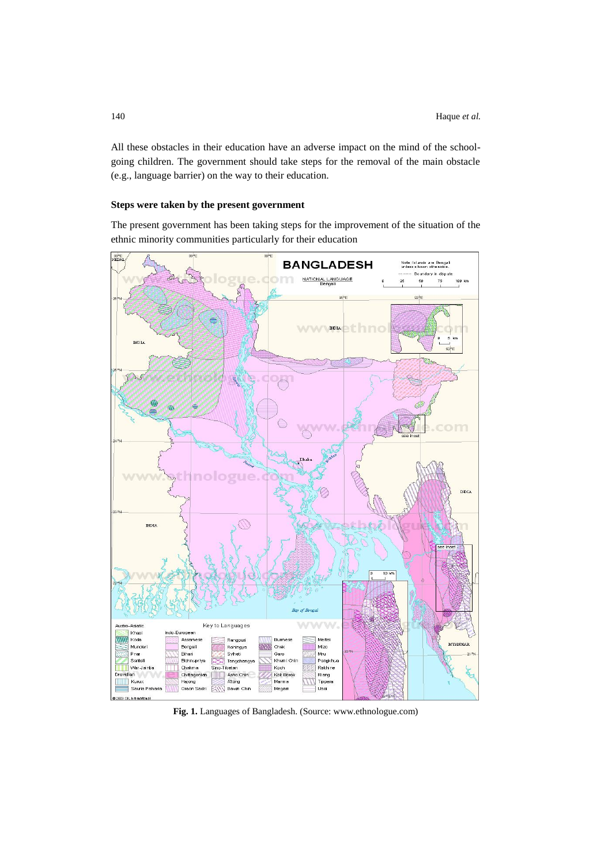All these obstacles in their education have an adverse impact on the mind of the schoolgoing children. The government should take steps for the removal of the main obstacle (e.g., language barrier) on the way to their education.

## **Steps were taken by the present government**

The present government has been taking steps for the improvement of the situation of the ethnic minority communities particularly for their education



**Fig. 1.** Languages of Bangladesh. (Source: www.ethnologue.com)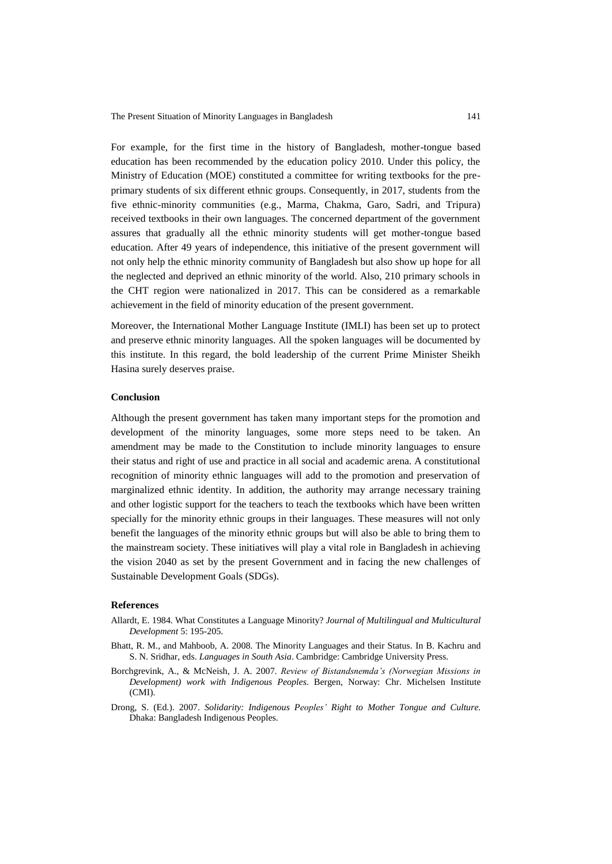The Present Situation of Minority Languages in Bangladesh 141

For example, for the first time in the history of Bangladesh, mother-tongue based education has been recommended by the education policy 2010. Under this policy, the Ministry of Education (MOE) constituted a committee for writing textbooks for the preprimary students of six different ethnic groups. Consequently, in 2017, students from the five ethnic-minority communities (e.g., Marma, Chakma, Garo, Sadri, and Tripura) received textbooks in their own languages. The concerned department of the government assures that gradually all the ethnic minority students will get mother-tongue based education. After 49 years of independence, this initiative of the present government will not only help the ethnic minority community of Bangladesh but also show up hope for all the neglected and deprived an ethnic minority of the world. Also, 210 primary schools in the CHT region were nationalized in 2017. This can be considered as a remarkable achievement in the field of minority education of the present government.

Moreover, the International Mother Language Institute (IMLI) has been set up to protect and preserve ethnic minority languages. All the spoken languages will be documented by this institute. In this regard, the bold leadership of the current Prime Minister Sheikh Hasina surely deserves praise.

## **Conclusion**

Although the present government has taken many important steps for the promotion and development of the minority languages, some more steps need to be taken. An amendment may be made to the Constitution to include minority languages to ensure their status and right of use and practice in all social and academic arena. A constitutional recognition of minority ethnic languages will add to the promotion and preservation of marginalized ethnic identity. In addition, the authority may arrange necessary training and other logistic support for the teachers to teach the textbooks which have been written specially for the minority ethnic groups in their languages. These measures will not only benefit the languages of the minority ethnic groups but will also be able to bring them to the mainstream society. These initiatives will play a vital role in Bangladesh in achieving the vision 2040 as set by the present Government and in facing the new challenges of Sustainable Development Goals (SDGs).

#### **References**

- Allardt, E. 1984. What Constitutes a Language Minority? *Journal of Multilingual and Multicultural Development* 5: 195-205.
- Bhatt, R. M., and Mahboob, A. 2008. The Minority Languages and their Status*.* In B. Kachru and S. N. Sridhar, eds. *Languages in South Asia*. Cambridge: Cambridge University Press.
- Borchgrevink, A., & McNeish, J. A. 2007. *Review of Bistandsnemda's (Norwegian Missions in Development) work with Indigenous Peoples*. Bergen, Norway: Chr. Michelsen Institute (CMI).
- Drong, S. (Ed.). 2007. *Solidarity: Indigenous Peoples' Right to Mother Tongue and Culture.*  Dhaka: Bangladesh Indigenous Peoples.